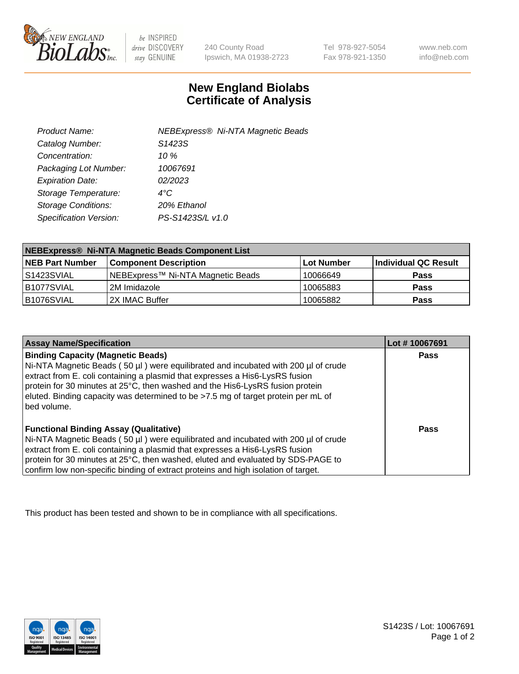

be INSPIRED drive DISCOVERY stay GENUINE

240 County Road Ipswich, MA 01938-2723 Tel 978-927-5054 Fax 978-921-1350

www.neb.com info@neb.com

## **New England Biolabs Certificate of Analysis**

| Product Name:              | <b>NEBExpress® Ni-NTA Magnetic Beads</b> |
|----------------------------|------------------------------------------|
| Catalog Number:            | S1423S                                   |
| Concentration:             | 10 $%$                                   |
| Packaging Lot Number:      | 10067691                                 |
| <b>Expiration Date:</b>    | 02/2023                                  |
| Storage Temperature:       | $4^{\circ}$ C                            |
| <b>Storage Conditions:</b> | 20% Ethanol                              |
| Specification Version:     | PS-S1423S/L v1.0                         |
|                            |                                          |

| NEBExpress® Ni-NTA Magnetic Beads Component List |                                   |            |                      |  |
|--------------------------------------------------|-----------------------------------|------------|----------------------|--|
| <b>NEB Part Number</b>                           | <b>Component Description</b>      | Lot Number | Individual QC Result |  |
| IS1423SVIAL                                      | NEBExpress™ Ni-NTA Magnetic Beads | 10066649   | <b>Pass</b>          |  |
| B1077SVIAL                                       | 2M Imidazole                      | 10065883   | <b>Pass</b>          |  |
| B1076SVIAL                                       | 2X IMAC Buffer                    | 10065882   | <b>Pass</b>          |  |

| <b>Assay Name/Specification</b>                                                                                                                                                                                                                                                                                                                                                                     | Lot #10067691 |
|-----------------------------------------------------------------------------------------------------------------------------------------------------------------------------------------------------------------------------------------------------------------------------------------------------------------------------------------------------------------------------------------------------|---------------|
| <b>Binding Capacity (Magnetic Beads)</b><br>Ni-NTA Magnetic Beads (50 µl) were equilibrated and incubated with 200 µl of crude<br>extract from E. coli containing a plasmid that expresses a His6-LysRS fusion<br>protein for 30 minutes at 25°C, then washed and the His6-LysRS fusion protein<br>eluted. Binding capacity was determined to be >7.5 mg of target protein per mL of<br>bed volume. | <b>Pass</b>   |
| <b>Functional Binding Assay (Qualitative)</b><br>Ni-NTA Magnetic Beads (50 µl) were equilibrated and incubated with 200 µl of crude<br>extract from E. coli containing a plasmid that expresses a His6-LysRS fusion<br>protein for 30 minutes at 25°C, then washed, eluted and evaluated by SDS-PAGE to<br>confirm low non-specific binding of extract proteins and high isolation of target.       | Pass          |

This product has been tested and shown to be in compliance with all specifications.